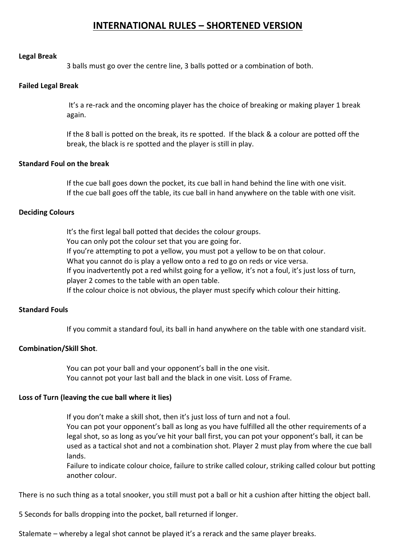# **INTERNATIONAL RULES – SHORTENED VERSION**

#### **Legal Break**

3 balls must go over the centre line, 3 balls potted or a combination of both.

#### **Failed Legal Break**

It's a re-rack and the oncoming player has the choice of breaking or making player 1 break again.

If the 8 ball is potted on the break, its re spotted. If the black & a colour are potted off the break, the black is re spotted and the player is still in play.

### **Standard Foul on the break**

If the cue ball goes down the pocket, its cue ball in hand behind the line with one visit. If the cue ball goes off the table, its cue ball in hand anywhere on the table with one visit.

#### **Deciding Colours**

It's the first legal ball potted that decides the colour groups. You can only pot the colour set that you are going for. If you're attempting to pot a yellow, you must pot a yellow to be on that colour. What you cannot do is play a yellow onto a red to go on reds or vice versa. If you inadvertently pot a red whilst going for a yellow, it's not a foul, it's just loss of turn, player 2 comes to the table with an open table. If the colour choice is not obvious, the player must specify which colour their hitting.

## **Standard Fouls**

If you commit a standard foul, its ball in hand anywhere on the table with one standard visit.

## **Combination/Skill Shot**.

You can pot your ball and your opponent's ball in the one visit. You cannot pot your last ball and the black in one visit. Loss of Frame.

## **Loss of Turn (leaving the cue ball where it lies)**

If you don't make a skill shot, then it's just loss of turn and not a foul.

You can pot your opponent's ball as long as you have fulfilled all the other requirements of a legal shot, so as long as you've hit your ball first, you can pot your opponent's ball, it can be used as a tactical shot and not a combination shot. Player 2 must play from where the cue ball lands.

Failure to indicate colour choice, failure to strike called colour, striking called colour but potting another colour.

There is no such thing as a total snooker, you still must pot a ball or hit a cushion after hitting the object ball.

5 Seconds for balls dropping into the pocket, ball returned if longer.

Stalemate – whereby a legal shot cannot be played it's a rerack and the same player breaks.